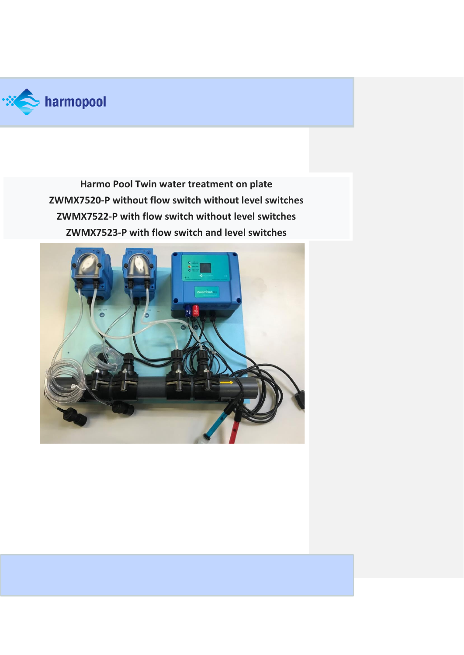

**Harmo Pool Twin water treatment on plate ZWMX7520-P without flow switch without level switches ZWMX7522-P with flow switch without level switches ZWMX7523-P with flow switch and level switches**

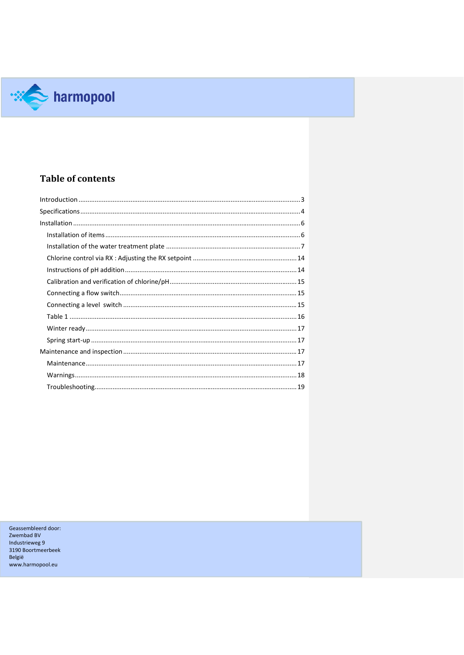

# **Table of contents**

Geassembleerd door: Zwembad BV<br>Industrieweg 9 3190 Boortmeerbeek België www.harmopool.eu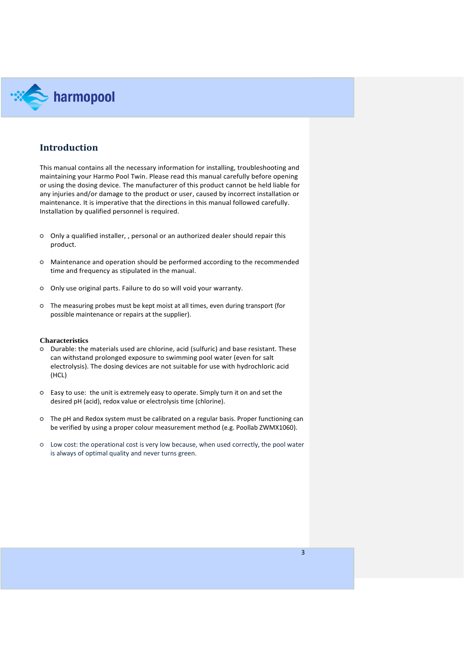

### <span id="page-2-0"></span>**Introduction**

This manual contains all the necessary information for installing, troubleshooting and maintaining your Harmo Pool Twin. Please read this manual carefully before opening or using the dosing device. The manufacturer of this product cannot be held liable for any injuries and/or damage to the product or user, caused by incorrect installation or maintenance. It is imperative that the directions in this manual followed carefully. Installation by qualified personnel is required.

- Only a qualified installer, , personal or an authorized dealer should repair this product.
- Maintenance and operation should be performed according to the recommended time and frequency as stipulated in the manual.
- Only use original parts. Failure to do so will void your warranty.
- The measuring probes must be kept moist at all times, even during transport (for possible maintenance or repairs at the supplier).

### **Characteristics**

- Durable: the materials used are chlorine, acid (sulfuric) and base resistant. These can withstand prolonged exposure to swimming pool water (even for salt electrolysis). The dosing devices are not suitable for use with hydrochloric acid (HCL)
- Easy to use: the unit is extremely easy to operate. Simply turn it on and set the desired pH (acid), redox value or electrolysis time (chlorine).
- The pH and Redox system must be calibrated on a regular basis. Proper functioning can be verified by using a proper colour measurement method (e.g. Poollab ZWMX1060).
- Low cost: the operational cost is very low because, when used correctly, the pool water is always of optimal quality and never turns green.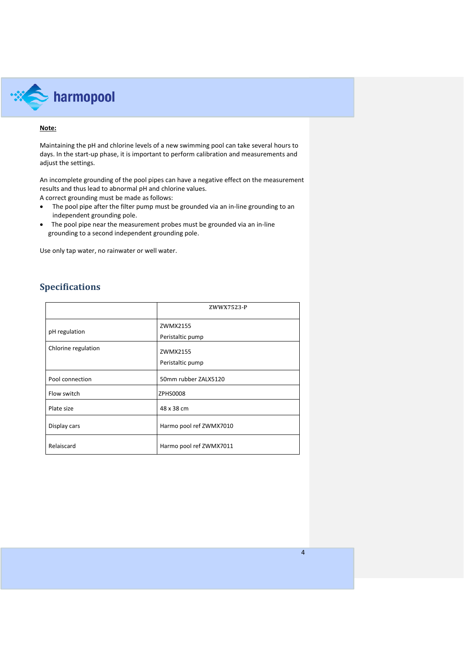

### **Note:**

Maintaining the pH and chlorine levels of a new swimming pool can take several hours to days. In the start-up phase, it is important to perform calibration and measurements and adjust the settings.

An incomplete grounding of the pool pipes can have a negative effect on the measurement results and thus lead to abnormal pH and chlorine values.

A correct grounding must be made as follows:

- The pool pipe after the filter pump must be grounded via an in-line grounding to an independent grounding pole.
- The pool pipe near the measurement probes must be grounded via an in-line grounding to a second independent grounding pole.

Use only tap water, no rainwater or well water.

## <span id="page-3-0"></span>**Specifications**

|                     | ZWWX7523-P              |
|---------------------|-------------------------|
| pH regulation       | ZWMX2155                |
|                     | Peristaltic pump        |
| Chlorine regulation | ZWMX2155                |
|                     | Peristaltic pump        |
| Pool connection     | 50mm rubber ZALX5120    |
| Flow switch         | ZPHS0008                |
| Plate size          | 48 x 38 cm              |
| Display cars        | Harmo pool ref ZWMX7010 |
| Relaiscard          | Harmo pool ref ZWMX7011 |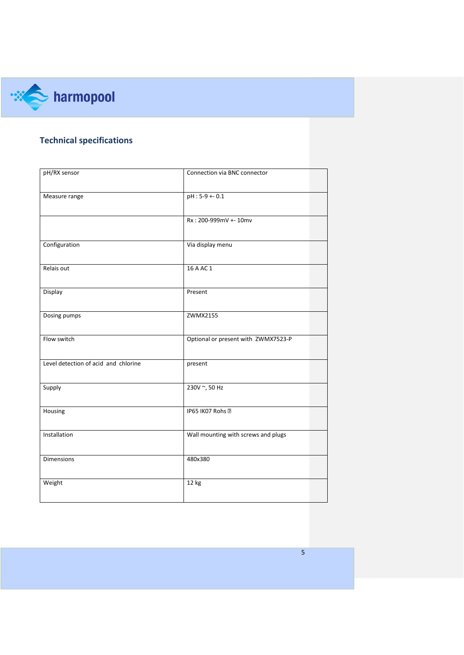

# **Technical specifications**

| pH/RX sensor                         | Connection via BNC connector        |
|--------------------------------------|-------------------------------------|
| Measure range                        | pH: 5-9 + - 0.1                     |
|                                      | Rx: 200-999mV +- 10mv               |
| Configuration                        | Via display menu                    |
| Relais out                           | 16 A AC 1                           |
| Display                              | Present                             |
| Dosing pumps                         | ZWMX2155                            |
| Flow switch                          | Optional or present with ZWMX7523-P |
| Level detection of acid and chlorine | present                             |
| Supply                               | 230V ~, 50 Hz                       |
| Housing                              | IP65 IK07 Rohs 2                    |
| Installation                         | Wall mounting with screws and plugs |
| Dimensions                           | 480x380                             |
| Weight                               | 12 kg                               |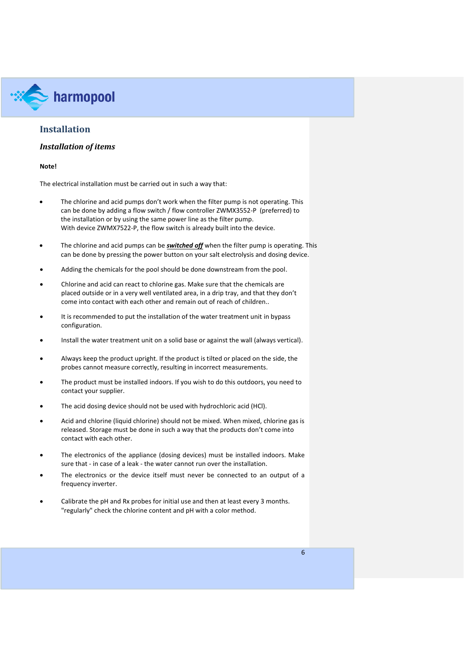

### <span id="page-5-0"></span>**Installation**

### <span id="page-5-1"></span>*Installation of items*

### **Note!**

The electrical installation must be carried out in such a way that:

- The chlorine and acid pumps don't work when the filter pump is not operating. This can be done by adding a flow switch / flow controller ZWMX3552-P (preferred) to the installation or by using the same power line as the filter pump. With device ZWMX7522-P, the flow switch is already built into the device.
- The chlorine and acid pumps can be *switched off* when the filter pump is operating. This can be done by pressing the power button on your salt electrolysis and dosing device.
- Adding the chemicals for the pool should be done downstream from the pool.
- Chlorine and acid can react to chlorine gas. Make sure that the chemicals are placed outside or in a very well ventilated area, in a drip tray, and that they don't come into contact with each other and remain out of reach of children..
- It is recommended to put the installation of the water treatment unit in bypass configuration.
- Install the water treatment unit on a solid base or against the wall (always vertical).
- Always keep the product upright. If the product is tilted or placed on the side, the probes cannot measure correctly, resulting in incorrect measurements.
- The product must be installed indoors. If you wish to do this outdoors, you need to contact your supplier.
- The acid dosing device should not be used with hydrochloric acid (HCl).
- Acid and chlorine (liquid chlorine) should not be mixed. When mixed, chlorine gas is released. Storage must be done in such a way that the products don't come into contact with each other.
- The electronics of the appliance (dosing devices) must be installed indoors. Make sure that - in case of a leak - the water cannot run over the installation.
- The electronics or the device itself must never be connected to an output of a frequency inverter.
- Calibrate the pH and Rx probes for initial use and then at least every 3 months. "regularly" check the chlorine content and pH with a color method.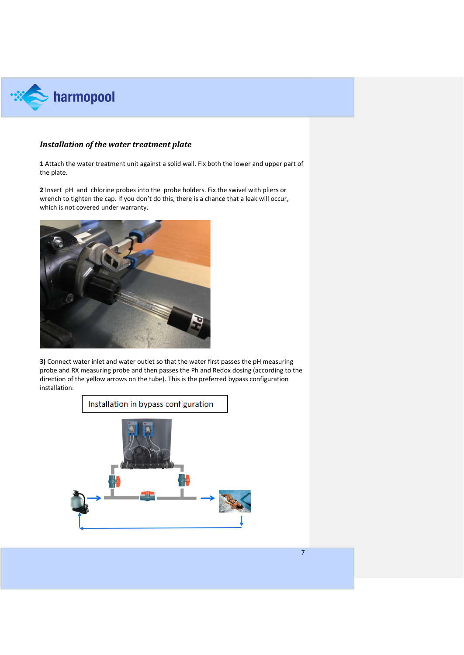

### <span id="page-6-0"></span>*Installation of the water treatment plate*

**1** Attach the water treatment unit against a solid wall. Fix both the lower and upper part of the plate.

**2** Insert pH and chlorine probes into the probe holders. Fix the swivel with pliers or wrench to tighten the cap. If you don't do this, there is a chance that a leak will occur, which is not covered under warranty.



**3)** Connect water inlet and water outlet so that the water first passes the pH measuring probe and RX measuring probe and then passes the Ph and Redox dosing (according to the direction of the yellow arrows on the tube). This is the preferred bypass configuration installation:

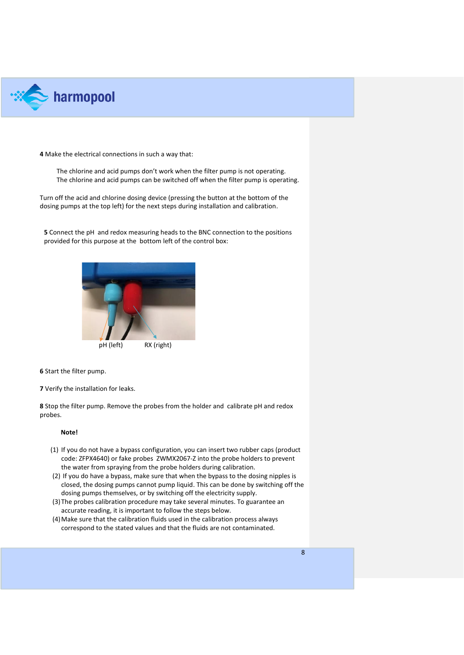

**4** Make the electrical connections in such a way that:

The chlorine and acid pumps don't work when the filter pump is not operating. The chlorine and acid pumps can be switched off when the filter pump is operating.

Turn off the acid and chlorine dosing device (pressing the button at the bottom of the dosing pumps at the top left) for the next steps during installation and calibration.

**5** Connect the pH and redox measuring heads to the BNC connection to the positions provided for this purpose at the bottom left of the control box:



**6** Start the filter pump.

**7** Verify the installation for leaks.

**8** Stop the filter pump. Remove the probes from the holder and calibrate pH and redox probes.

### **Note!**

- (1) If you do not have a bypass configuration, you can insert two rubber caps (product code: ZFPX4640) or fake probes ZWMX2067-Z into the probe holders to prevent the water from spraying from the probe holders during calibration.
- (2) If you do have a bypass, make sure that when the bypass to the dosing nipples is closed, the dosing pumps cannot pump liquid. This can be done by switching off the dosing pumps themselves, or by switching off the electricity supply.
- (3)The probes calibration procedure may take several minutes. To guarantee an accurate reading, it is important to follow the steps below.
- (4)Make sure that the calibration fluids used in the calibration process always correspond to the stated values and that the fluids are not contaminated.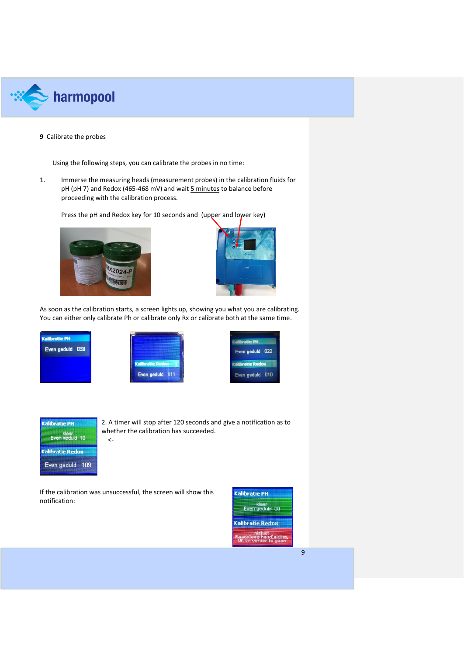

### **9** Calibrate the probes

Using the following steps, you can calibrate the probes in no time:

1. Immerse the measuring heads (measurement probes) in the calibration fluids for pH (pH 7) and Redox (465-468 mV) and wait 5 minutes to balance before proceeding with the calibration process.

Press the pH and Redox key for 10 seconds and (upper and lower key)





As soon as the calibration starts, a screen lights up, showing you what you are calibrating. You can either only calibrate Ph or calibrate only Rx or calibrate both at the same time.





| Even geduld 022 |  |
|-----------------|--|
| Moratie Redux   |  |



2. A timer will stop after 120 seconds and give a notification as to whether the calibration has succeeded.

If the calibration was unsuccessful, the screen will show this notification:

<-

| <b>Kalibratie PH</b>                                     |
|----------------------------------------------------------|
| klaar<br>Even geduld 00                                  |
| <b>Kalibratie Redox</b>                                  |
| nislukt<br>aadpleeg handleiding.<br>OK on verder te gaan |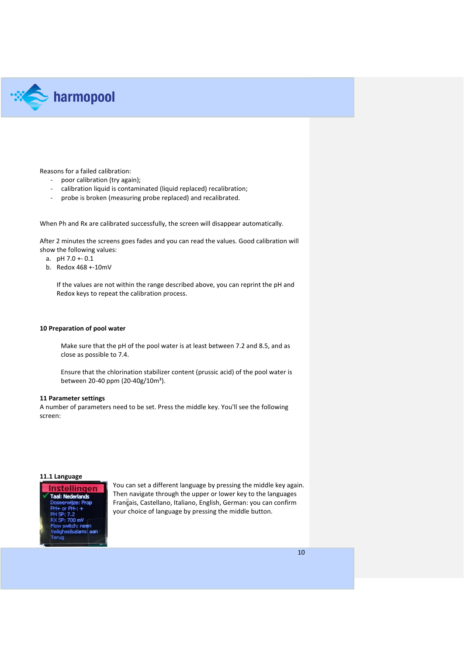

Reasons for a failed calibration:

- poor calibration (try again);
- calibration liquid is contaminated (liquid replaced) recalibration;
- probe is broken (measuring probe replaced) and recalibrated.

When Ph and Rx are calibrated successfully, the screen will disappear automatically.

After 2 minutes the screens goes fades and you can read the values. Good calibration will show the following values:

- a.  $pH 7.0 + 0.1$
- b. Redox 468 +-10mV

If the values are not within the range described above, you can reprint the pH and Redox keys to repeat the calibration process.

### **10 Preparation of pool water**

Make sure that the pH of the pool water is at least between 7.2 and 8.5, and as close as possible to 7.4.

Ensure that the chlorination stabilizer content (prussic acid) of the pool water is between 20-40 ppm (20-40g/10m<sup>3</sup>).

### **11 Parameter settings**

A number of parameters need to be set. Press the middle key. You'll see the following screen:

### **11.1 Language**



You can set a different language by pressing the middle key again. Then navigate through the upper or lower key to the languages Français, Castellano, Italiano, English, German: you can confirm your choice of language by pressing the middle button.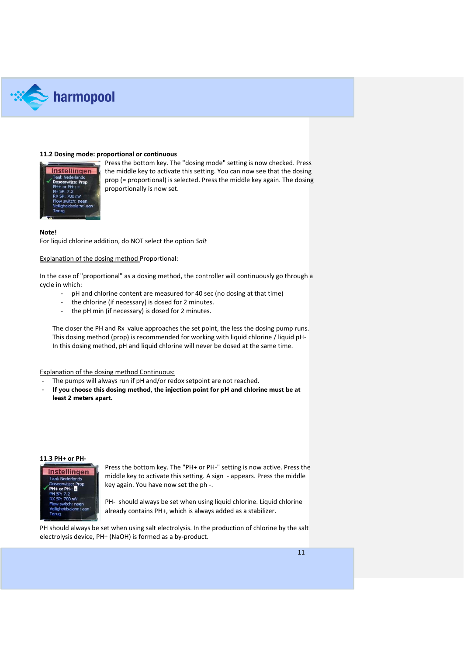

### **11.2 Dosing mode: proportional or continuous**



Press the bottom key. The "dosing mode" setting is now checked. Press the middle key to activate this setting. You can now see that the dosing prop (= proportional) is selected. Press the middle key again. The dosing proportionally is now set.

### **Note!**

For liquid chlorine addition, do NOT select the option *Salt*

Explanation of the dosing method Proportional:

In the case of "proportional" as a dosing method, the controller will continuously go through a cycle in which:

- pH and chlorine content are measured for 40 sec (no dosing at that time)
- the chlorine (if necessary) is dosed for 2 minutes.
- the pH min (if necessary) is dosed for 2 minutes.

The closer the PH and Rx value approaches the set point, the less the dosing pump runs. This dosing method (prop) is recommended for working with liquid chlorine / liquid pH-In this dosing method, pH and liquid chlorine will never be dosed at the same time.

Explanation of the dosing method Continuous:

- The pumps will always run if pH and/or redox setpoint are not reached.
- **If you choose this dosing method, the injection point for pH and chlorine must be at least 2 meters apart.**

#### **11.3 PH+ or PH-**



Press the bottom key. The "PH+ or PH-" setting is now active. Press the middle key to activate this setting. A sign - appears. Press the middle key again. You have now set the ph -.

PH- should always be set when using liquid chlorine. Liquid chlorine already contains PH+, which is always added as a stabilizer.

PH should always be set when using salt electrolysis. In the production of chlorine by the salt electrolysis device, PH+ (NaOH) is formed as a by-product.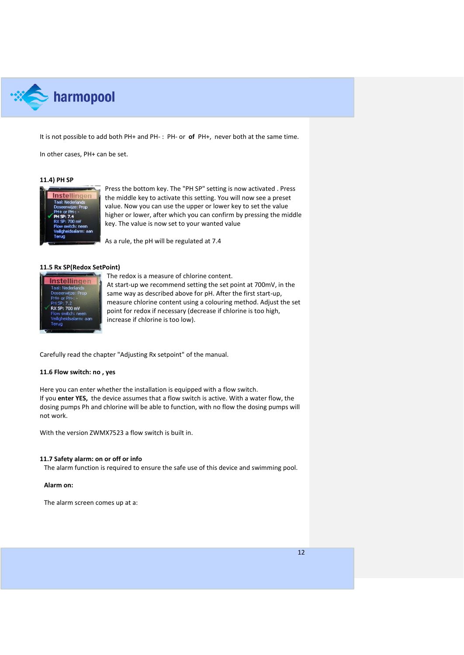

It is not possible to add both PH+ and PH- : PH- or **of** PH+, never both at the same time.

In other cases, PH+ can be set.

### **11.4) PH SP**



Press the bottom key. The "PH SP" setting is now activated . Press the middle key to activate this setting. You will now see a preset value. Now you can use the upper or lower key to set the value higher or lower, after which you can confirm by pressing the middle key. The value is now set to your wanted value

As a rule, the pH will be regulated at 7.4

### **11.5 Rx SP(Redox SetPoint)**



The redox is a measure of chlorine content. At start-up we recommend setting the set point at 700mV, in the same way as described above for pH. After the first start-up, measure chlorine content using a colouring method. Adjust the set point for redox if necessary (decrease if chlorine is too high, increase if chlorine is too low).

Carefully read the chapter "Adjusting Rx setpoint" of the manual.

### **11.6 Flow switch: no , yes**

Here you can enter whether the installation is equipped with a flow switch. If you **enter YES,** the device assumes that a flow switch is active. With a water flow, the dosing pumps Ph and chlorine will be able to function, with no flow the dosing pumps will not work.

With the version ZWMX7523 a flow switch is built in.

### **11.7 Safety alarm: on or off or info**

The alarm function is required to ensure the safe use of this device and swimming pool.

### **Alarm on:**

The alarm screen comes up at a: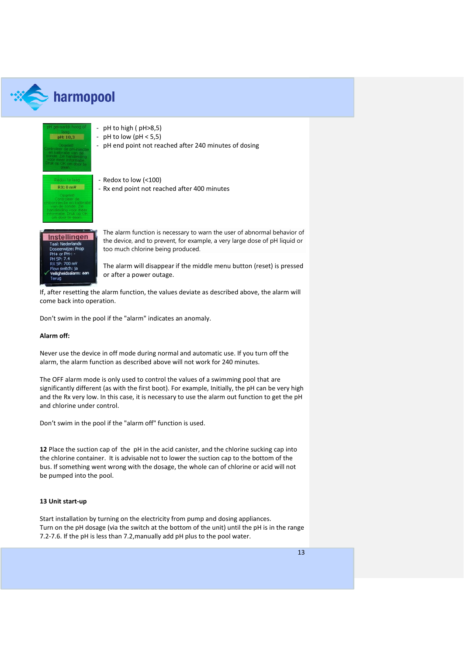

# $\gg$  harmopool



Instellingen aal: Nederlands -- . . . . .<br>5P: 700 mV

The alarm function is necessary to warn the user of abnormal behavior of the device, and to prevent, for example, a very large dose of pH liquid or too much chlorine being produced.

The alarm will disappear if the middle menu button (reset) is pressed or after a power outage.

If, after resetting the alarm function, the values deviate as described above, the alarm will come back into operation.

Don't swim in the pool if the "alarm" indicates an anomaly.

### **Alarm off:**

Never use the device in off mode during normal and automatic use. If you turn off the alarm, the alarm function as described above will not work for 240 minutes.

The OFF alarm mode is only used to control the values of a swimming pool that are significantly different (as with the first boot). For example, Initially, the pH can be very high and the Rx very low. In this case, it is necessary to use the alarm out function to get the pH and chlorine under control.

Don't swim in the pool if the "alarm off" function is used.

**12** Place the suction cap of the pH in the acid canister, and the chlorine sucking cap into the chlorine container. It is advisable not to lower the suction cap to the bottom of the bus. If something went wrong with the dosage, the whole can of chlorine or acid will not be pumped into the pool.

### **13 Unit start-up**

Start installation by turning on the electricity from pump and dosing appliances. Turn on the pH dosage (via the switch at the bottom of the unit) until the pH is in the range 7.2-7.6. If the pH is less than 7.2,manually add pH plus to the pool water.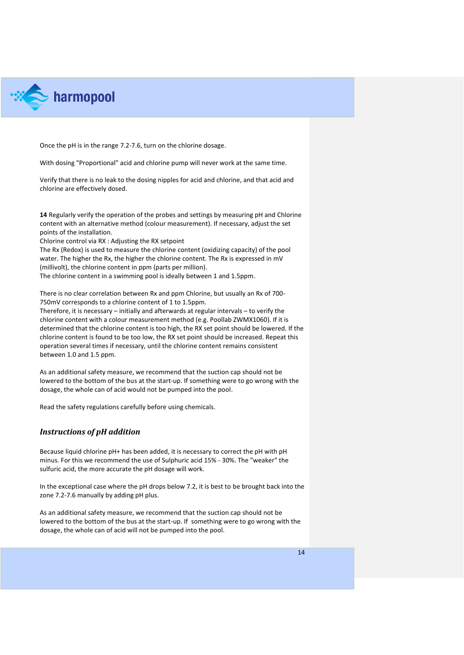

Once the pH is in the range 7.2-7.6, turn on the chlorine dosage.

With dosing "Proportional" acid and chlorine pump will never work at the same time.

Verify that there is no leak to the dosing nipples for acid and chlorine, and that acid and chlorine are effectively dosed.

**14** Regularly verify the operation of the probes and settings by measuring pH and Chlorine content with an alternative method (colour measurement). If necessary, adjust the set points of the installation.

<span id="page-13-0"></span>Chlorine control via RX : Adjusting the RX setpoint

The Rx (Redox) is used to measure the chlorine content (oxidizing capacity) of the pool water. The higher the Rx, the higher the chlorine content. The Rx is expressed in mV (millivolt), the chlorine content in ppm (parts per million). The chlorine content in a swimming pool is ideally between 1 and 1.5ppm.

There is no clear correlation between Rx and ppm Chlorine, but usually an Rx of 700- 750mV corresponds to a chlorine content of 1 to 1.5ppm.

Therefore, it is necessary – initially and afterwards at regular intervals – to verify the chlorine content with a colour measurement method (e.g. Poollab ZWMX1060). If it is determined that the chlorine content is too high, the RX set point should be lowered. If the chlorine content is found to be too low, the RX set point should be increased. Repeat this operation several times if necessary, until the chlorine content remains consistent between 1.0 and 1.5 ppm.

As an additional safety measure, we recommend that the suction cap should not be lowered to the bottom of the bus at the start-up. If something were to go wrong with the dosage, the whole can of acid would not be pumped into the pool.

Read the safety regulations carefully before using chemicals.

### <span id="page-13-1"></span>*Instructions of pH addition*

Because liquid chlorine pH+ has been added, it is necessary to correct the pH with pH minus. For this we recommend the use of Sulphuric acid 15% - 30%. The "weaker" the sulfuric acid, the more accurate the pH dosage will work.

In the exceptional case where the pH drops below 7.2, it is best to be brought back into the zone 7.2-7.6 manually by adding pH plus.

As an additional safety measure, we recommend that the suction cap should not be lowered to the bottom of the bus at the start-up. If something were to go wrong with the dosage, the whole can of acid will not be pumped into the pool.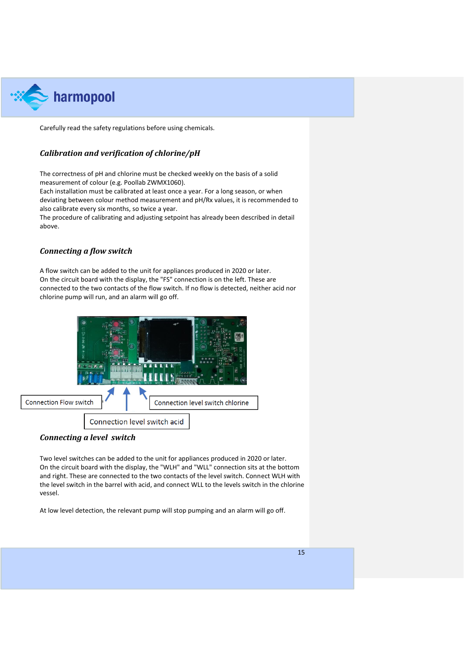

Carefully read the safety regulations before using chemicals.

### <span id="page-14-0"></span>*Calibration and verification of chlorine/pH*

The correctness of pH and chlorine must be checked weekly on the basis of a solid measurement of colour (e.g. Poollab ZWMX1060).

Each installation must be calibrated at least once a year. For a long season, or when deviating between colour method measurement and pH/Rx values, it is recommended to also calibrate every six months, so twice a year.

The procedure of calibrating and adjusting setpoint has already been described in detail above.

### <span id="page-14-1"></span>*Connecting a flow switch*

A flow switch can be added to the unit for appliances produced in 2020 or later. On the circuit board with the display, the "FS" connection is on the left. These are connected to the two contacts of the flow switch. If no flow is detected, neither acid nor chlorine pump will run, and an alarm will go off.



### <span id="page-14-2"></span>*Connecting a level switch*

Two level switches can be added to the unit for appliances produced in 2020 or later. On the circuit board with the display, the "WLH" and "WLL" connection sits at the bottom and right. These are connected to the two contacts of the level switch. Connect WLH with the level switch in the barrel with acid, and connect WLL to the levels switch in the chlorine vessel.

At low level detection, the relevant pump will stop pumping and an alarm will go off.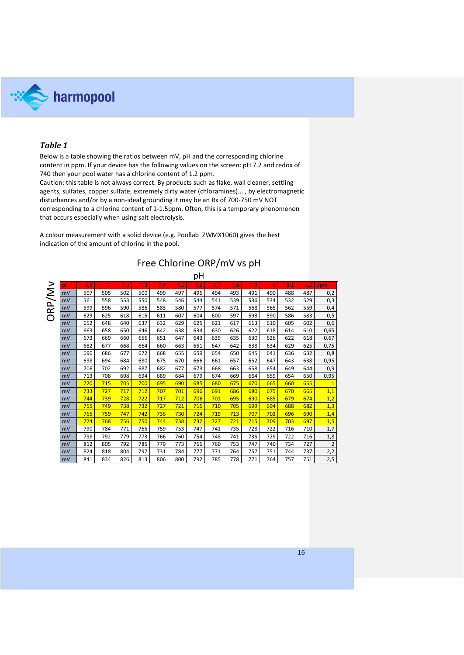

### <span id="page-15-0"></span>*Table 1*

Below is a table showing the ratios between mV, pH and the corresponding chlorine content in ppm. If your device has the following values on the screen: pH 7.2 and redox of 740 then your pool water has a chlorine content of 1.2 ppm.

Caution: this table is not always correct. By products such as flake, wall cleaner, settling agents, sulfates, copper sulfate, extremely dirty water (chloramines)... , by electromagnetic disturbances and/or by a non-ideal grounding it may be an Rx of 700-750 mV NOT corresponding to a chlorine content of 1-1.5ppm. Often, this is a temporary phenomenon that occurs especially when using salt electrolysis.

A colour measurement with a solid device (e.g. Poollab ZWMX1060) gives the best indication of the amount of chlorine in the pool.

|        |    |     |     |     |     |     |     | рH  |     |     |     |     |     |     |                |
|--------|----|-----|-----|-----|-----|-----|-----|-----|-----|-----|-----|-----|-----|-----|----------------|
|        | pH | 6,9 | 7   | 7,2 | 7,3 | 7,4 | 7,5 | 7,6 | 7,7 | 7,8 | 7,9 | 8   | 8,1 | 8,2 | ppm            |
| ORP/Mv | mV | 507 | 505 | 502 | 500 | 499 | 497 | 496 | 494 | 493 | 491 | 490 | 488 | 487 | 0,2            |
|        | mV | 561 | 558 | 553 | 550 | 548 | 546 | 544 | 541 | 539 | 536 | 534 | 532 | 529 | 0,3            |
|        | mV | 599 | 596 | 590 | 586 | 583 | 580 | 577 | 574 | 571 | 568 | 565 | 562 | 559 | 0,4            |
|        | mV | 629 | 625 | 618 | 615 | 611 | 607 | 604 | 600 | 597 | 593 | 590 | 586 | 583 | 0,5            |
|        | mV | 652 | 648 | 640 | 637 | 632 | 629 | 625 | 621 | 617 | 613 | 610 | 605 | 602 | 0,6            |
|        | mV | 663 | 658 | 650 | 646 | 642 | 638 | 634 | 630 | 626 | 622 | 618 | 614 | 610 | 0,65           |
|        | mV | 673 | 669 | 660 | 656 | 651 | 647 | 643 | 639 | 635 | 630 | 626 | 622 | 618 | 0,67           |
|        | mV | 682 | 677 | 668 | 664 | 660 | 663 | 651 | 647 | 642 | 638 | 634 | 629 | 625 | 0,75           |
|        | mV | 690 | 686 | 677 | 672 | 668 | 655 | 659 | 654 | 650 | 645 | 641 | 636 | 632 | 0,8            |
|        | mV | 698 | 694 | 684 | 680 | 675 | 670 | 666 | 661 | 657 | 652 | 647 | 643 | 638 | 0,95           |
|        | mV | 706 | 702 | 692 | 687 | 682 | 677 | 673 | 668 | 663 | 658 | 654 | 649 | 644 | 0,9            |
|        | mV | 713 | 708 | 698 | 694 | 689 | 684 | 679 | 674 | 669 | 664 | 659 | 654 | 650 | 0,95           |
|        | mV | 720 | 715 | 705 | 700 | 695 | 690 | 685 | 680 | 675 | 670 | 665 | 660 | 655 | $\overline{1}$ |
|        | mV | 733 | 727 | 717 | 712 | 707 | 701 | 696 | 691 | 686 | 680 | 675 | 670 | 665 | 1,1            |
|        | mV | 744 | 739 | 728 | 722 | 717 | 712 | 706 | 701 | 695 | 690 | 685 | 679 | 674 | 1,2            |
|        | mV | 755 | 749 | 738 | 732 | 727 | 721 | 716 | 710 | 705 | 699 | 694 | 688 | 682 | 1,3            |
|        | mV | 765 | 759 | 747 | 742 | 736 | 730 | 724 | 719 | 713 | 707 | 702 | 696 | 690 | 1,4            |
|        | mV | 774 | 768 | 756 | 750 | 744 | 738 | 732 | 727 | 721 | 715 | 709 | 703 | 697 | 1,5            |
|        | mV | 790 | 784 | 771 | 765 | 759 | 753 | 747 | 741 | 735 | 728 | 722 | 716 | 710 | 1,7            |
|        | mV | 798 | 792 | 779 | 773 | 766 | 760 | 754 | 748 | 741 | 735 | 729 | 722 | 716 | 1,8            |
|        | mV | 812 | 805 | 792 | 785 | 779 | 773 | 766 | 760 | 753 | 747 | 740 | 734 | 727 | $\overline{2}$ |
|        | mV | 824 | 818 | 804 | 797 | 731 | 784 | 777 | 771 | 764 | 757 | 751 | 744 | 737 | 2,2            |
|        | mV | 841 | 834 | 826 | 813 | 806 | 800 | 792 | 785 | 778 | 771 | 764 | 757 | 751 | 2,5            |

# Free Chlorine ORP/mV vs pH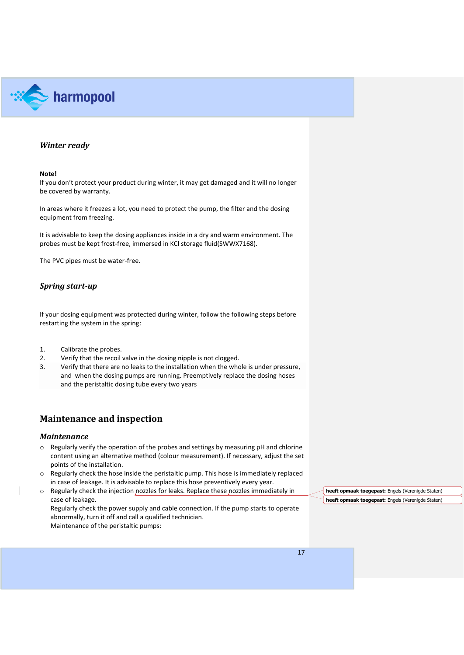

### <span id="page-16-0"></span>*Winter ready*

### **Note!**

If you don't protect your product during winter, it may get damaged and it will no longer be covered by warranty.

In areas where it freezes a lot, you need to protect the pump, the filter and the dosing equipment from freezing.

It is advisable to keep the dosing appliances inside in a dry and warm environment. The probes must be kept frost-free, immersed in KCl storage fluid(SWWX7168).

The PVC pipes must be water-free.

### <span id="page-16-1"></span>*Spring start-up*

If your dosing equipment was protected during winter, follow the following steps before restarting the system in the spring:

- 1. Calibrate the probes.
- 2. Verify that the recoil valve in the dosing nipple is not clogged.
- 3. Verify that there are no leaks to the installation when the whole is under pressure, and when the dosing pumps are running. Preemptively replace the dosing hoses and the peristaltic dosing tube every two years

### <span id="page-16-2"></span>**Maintenance and inspection**

### <span id="page-16-3"></span>*Maintenance*

- $\circ$  Regularly verify the operation of the probes and settings by measuring pH and chlorine content using an alternative method (colour measurement). If necessary, adjust the set points of the installation.
- $\circ$  Regularly check the hose inside the peristaltic pump. This hose is immediately replaced in case of leakage. It is advisable to replace this hose preventively every year.
- o Regularly check the injection nozzles for leaks. Replace these nozzles immediately in case of leakage. Regularly check the power supply and cable connection. If the pump starts to operate abnormally, turn it off and call a qualified technician. Maintenance of the peristaltic pumps:

**heeft opmaak toegepast:** Engels (Verenigde Staten) **heeft opmaak toegepast:** Engels (Verenigde Staten)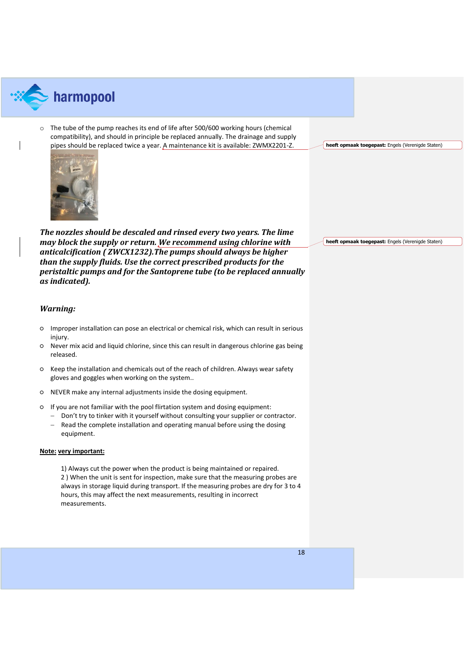

 $\circ$  The tube of the pump reaches its end of life after 500/600 working hours (chemical compatibility), and should in principle be replaced annually. The drainage and supply pipes should be replaced twice a year. A maintenance kit is available: ZWMX2201-Z.

**heeft opmaak toegepast:** Engels (Verenigde Staten)



*The nozzles should be descaled and rinsed every two years. The lime may block the supply or return. We recommend using chlorine with anticalcification ( ZWCX1232).The pumps should always be higher than the supply fluids. Use the correct prescribed products for the peristaltic pumps and for the Santoprene tube (to be replaced annually as indicated).*

**heeft opmaak toegepast:** Engels (Verenigde Staten)

### <span id="page-17-0"></span>*Warning:*

- Improper installation can pose an electrical or chemical risk, which can result in serious injury.
- Never mix acid and liquid chlorine, since this can result in dangerous chlorine gas being released.
- Keep the installation and chemicals out of the reach of children. Always wear safety gloves and goggles when working on the system..
- NEVER make any internal adjustments inside the dosing equipment.
- If you are not familiar with the pool flirtation system and dosing equipment:
	- − Don't try to tinker with it yourself without consulting your supplier or contractor.
	- − Read the complete installation and operating manual before using the dosing equipment.

### **Note: very important:**

1) Always cut the power when the product is being maintained or repaired. 2 ) When the unit is sent for inspection, make sure that the measuring probes are always in storage liquid during transport. If the measuring probes are dry for 3 to 4 hours, this may affect the next measurements, resulting in incorrect measurements.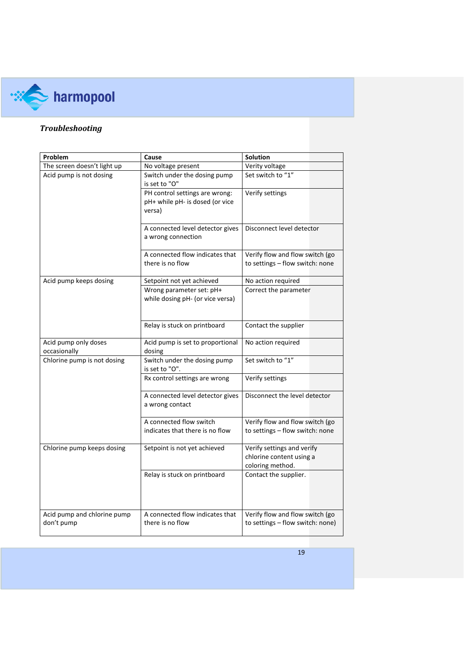

# <span id="page-18-0"></span>*Troubleshooting*

| Problem                                   | <b>Solution</b>                                                                     |                                                                            |  |  |
|-------------------------------------------|-------------------------------------------------------------------------------------|----------------------------------------------------------------------------|--|--|
| The screen doesn't light up               | No voltage present                                                                  | Verity voltage                                                             |  |  |
| Acid pump is not dosing                   | Switch under the dosing pump<br>is set to "O"                                       | Set switch to "1"                                                          |  |  |
|                                           | PH control settings are wrong:<br>pH+ while pH- is dosed (or vice<br>versa)         | Verify settings                                                            |  |  |
|                                           | Disconnect level detector<br>A connected level detector gives<br>a wrong connection |                                                                            |  |  |
|                                           | A connected flow indicates that                                                     | Verify flow and flow switch (go                                            |  |  |
|                                           | there is no flow                                                                    | to settings - flow switch: none                                            |  |  |
| Acid pump keeps dosing                    | Setpoint not yet achieved                                                           | No action required                                                         |  |  |
|                                           | Wrong parameter set: pH+<br>while dosing pH- (or vice versa)                        | Correct the parameter                                                      |  |  |
|                                           | Relay is stuck on printboard                                                        | Contact the supplier                                                       |  |  |
| Acid pump only doses<br>occasionally      | Acid pump is set to proportional<br>dosing                                          | No action required                                                         |  |  |
| Chlorine pump is not dosing               | Switch under the dosing pump<br>is set to "O".                                      | Set switch to "1"                                                          |  |  |
|                                           | Rx control settings are wrong                                                       | Verify settings                                                            |  |  |
|                                           | A connected level detector gives<br>a wrong contact                                 | Disconnect the level detector                                              |  |  |
|                                           | A connected flow switch                                                             | Verify flow and flow switch (go                                            |  |  |
|                                           | indicates that there is no flow                                                     | to settings - flow switch: none                                            |  |  |
| Chlorine pump keeps dosing                | Setpoint is not yet achieved                                                        | Verify settings and verify<br>chlorine content using a<br>coloring method. |  |  |
|                                           | Relay is stuck on printboard                                                        | Contact the supplier.                                                      |  |  |
| Acid pump and chlorine pump<br>don't pump | A connected flow indicates that<br>there is no flow                                 | Verify flow and flow switch (go<br>to settings - flow switch: none)        |  |  |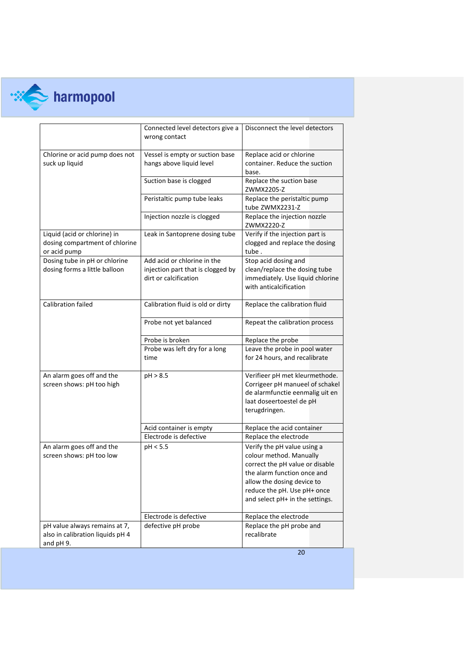

# **RESEARCH STATE**

|                                                                                | Connected level detectors give a<br>wrong contact                                         | Disconnect the level detectors                                                                                                                                                                                           |
|--------------------------------------------------------------------------------|-------------------------------------------------------------------------------------------|--------------------------------------------------------------------------------------------------------------------------------------------------------------------------------------------------------------------------|
| Chlorine or acid pump does not<br>suck up liquid                               | Vessel is empty or suction base<br>hangs above liquid level                               | Replace acid or chlorine<br>container. Reduce the suction<br>base.                                                                                                                                                       |
|                                                                                | Suction base is clogged                                                                   | Replace the suction base<br>ZWMX2205-Z                                                                                                                                                                                   |
|                                                                                | Peristaltic pump tube leaks                                                               | Replace the peristaltic pump<br>tube ZWMX2231-Z                                                                                                                                                                          |
|                                                                                | Injection nozzle is clogged                                                               | Replace the injection nozzle<br>ZWMX2220-Z                                                                                                                                                                               |
| Liquid (acid or chlorine) in<br>dosing compartment of chlorine<br>or acid pump | Leak in Santoprene dosing tube                                                            | Verify if the injection part is<br>clogged and replace the dosing<br>tube.                                                                                                                                               |
| Dosing tube in pH or chlorine<br>dosing forms a little balloon                 | Add acid or chlorine in the<br>injection part that is clogged by<br>dirt or calcification | Stop acid dosing and<br>clean/replace the dosing tube<br>immediately. Use liquid chlorine<br>with anticalcification                                                                                                      |
| Calibration failed                                                             | Calibration fluid is old or dirty                                                         | Replace the calibration fluid                                                                                                                                                                                            |
|                                                                                | Probe not yet balanced                                                                    | Repeat the calibration process                                                                                                                                                                                           |
|                                                                                | Probe is broken                                                                           | Replace the probe                                                                                                                                                                                                        |
|                                                                                | Probe was left dry for a long<br>time                                                     | Leave the probe in pool water<br>for 24 hours, and recalibrate                                                                                                                                                           |
| An alarm goes off and the<br>screen shows: pH too high                         | pH > 8.5                                                                                  | Verifieer pH met kleurmethode.<br>Corrigeer pH manueel of schakel<br>de alarmfunctie eenmalig uit en<br>laat doseertoestel de pH<br>terugdringen.                                                                        |
|                                                                                | Acid container is empty                                                                   | Replace the acid container                                                                                                                                                                                               |
|                                                                                | Electrode is defective                                                                    | Replace the electrode                                                                                                                                                                                                    |
| An alarm goes off and the<br>screen shows: pH too low                          | pH < 5.5                                                                                  | Verify the pH value using a<br>colour method. Manually<br>correct the pH value or disable<br>the alarm function once and<br>allow the dosing device to<br>reduce the pH. Use pH+ once<br>and select pH+ in the settings. |
|                                                                                | Electrode is defective                                                                    | Replace the electrode                                                                                                                                                                                                    |
| pH value always remains at 7,<br>also in calibration liquids pH 4<br>and pH 9. | defective pH probe                                                                        | Replace the pH probe and<br>recalibrate                                                                                                                                                                                  |